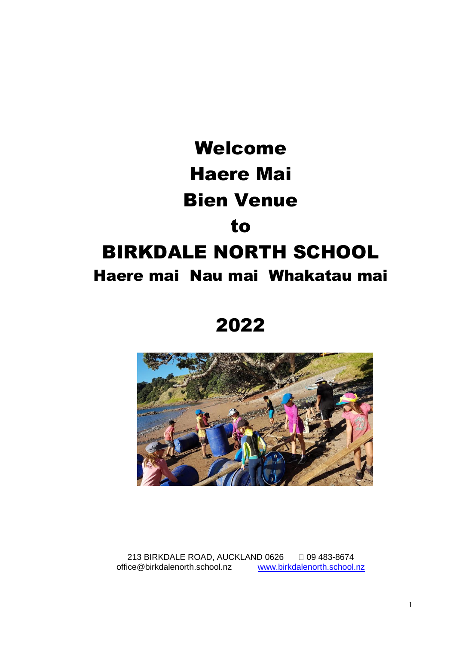

2022



213 BIRKDALE ROAD, AUCKLAND 0626 09 483-8674 office@birkdalenorth.school.nz [www.birkdalenorth.school.nz](http://www.birkdalenorth.school.nz/)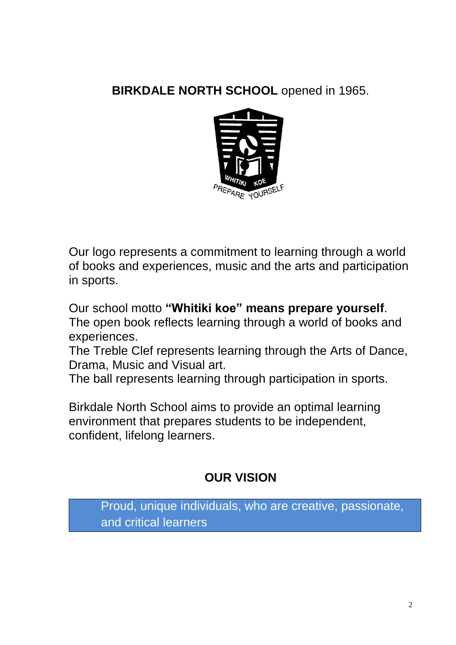# **BIRKDALE NORTH SCHOOL** opened in 1965.



Our logo represents a commitment to learning through a world of books and experiences, music and the arts and participation in sports.

Our school motto **"Whitiki koe" means prepare yourself**. The open book reflects learning through a world of books and experiences.

The Treble Clef represents learning through the Arts of Dance, Drama, Music and Visual art.

The ball represents learning through participation in sports.

Birkdale North School aims to provide an optimal learning environment that prepares students to be independent, confident, lifelong learners.

# **OUR VISION**

Proud, unique individuals, who are creative, passionate, and critical learners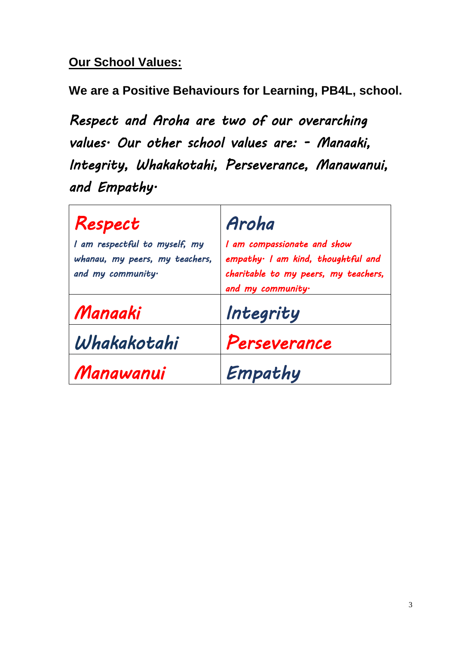## **Our School Values:**

**We are a Positive Behaviours for Learning, PB4L, school.**

*Respect and Aroha are two of our overarching values. Our other school values are: - Manaaki, Integrity, Whakakotahi, Perseverance, Manawanui, and Empathy.* 

| Respect                                                                              | Aroha                                                                                                                         |
|--------------------------------------------------------------------------------------|-------------------------------------------------------------------------------------------------------------------------------|
| I am respectful to myself, my<br>whanau, my peers, my teachers,<br>and my community. | I am compassionate and show<br>empathy I am kind, thoughtful and<br>charitable to my peers, my teachers,<br>and my community. |
| Manaaki                                                                              | Integrity                                                                                                                     |
| Whakakotahi                                                                          | Perseverance                                                                                                                  |
| Manawanui                                                                            | Empathy                                                                                                                       |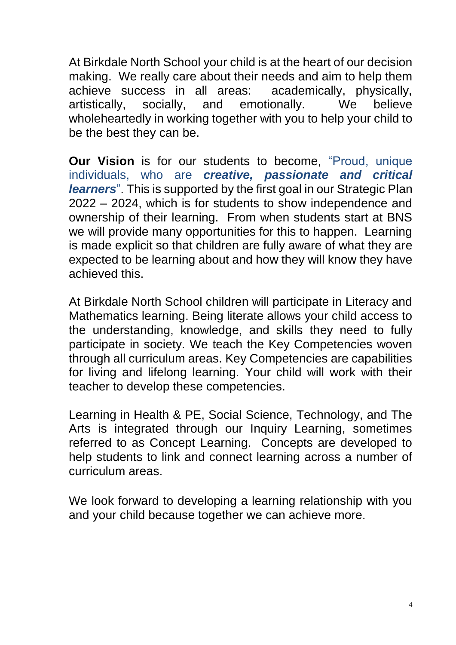At Birkdale North School your child is at the heart of our decision making. We really care about their needs and aim to help them achieve success in all areas: academically, physically, artistically, socially, and emotionally. We believe wholeheartedly in working together with you to help your child to be the best they can be.

**Our Vision** is for our students to become, "Proud, unique individuals, who are *creative, passionate and critical learners*". This is supported by the first goal in our Strategic Plan 2022 – 2024, which is for students to show independence and ownership of their learning. From when students start at BNS we will provide many opportunities for this to happen. Learning is made explicit so that children are fully aware of what they are expected to be learning about and how they will know they have achieved this.

At Birkdale North School children will participate in Literacy and Mathematics learning. Being literate allows your child access to the understanding, knowledge, and skills they need to fully participate in society. We teach the Key Competencies woven through all curriculum areas. Key Competencies are capabilities for living and lifelong learning. Your child will work with their teacher to develop these competencies.

Learning in Health & PE, Social Science, Technology, and The Arts is integrated through our Inquiry Learning, sometimes referred to as Concept Learning. Concepts are developed to help students to link and connect learning across a number of curriculum areas.

We look forward to developing a learning relationship with you and your child because together we can achieve more.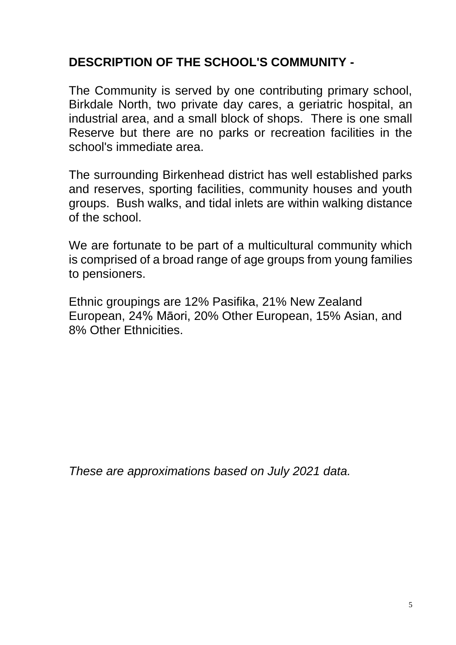## **DESCRIPTION OF THE SCHOOL'S COMMUNITY -**

The Community is served by one contributing primary school, Birkdale North, two private day cares, a geriatric hospital, an industrial area, and a small block of shops. There is one small Reserve but there are no parks or recreation facilities in the school's immediate area.

The surrounding Birkenhead district has well established parks and reserves, sporting facilities, community houses and youth groups. Bush walks, and tidal inlets are within walking distance of the school.

We are fortunate to be part of a multicultural community which is comprised of a broad range of age groups from young families to pensioners.

Ethnic groupings are 12% Pasifika, 21% New Zealand European, 24% Māori, 20% Other European, 15% Asian, and 8% Other Ethnicities.

*These are approximations based on July 2021 data.*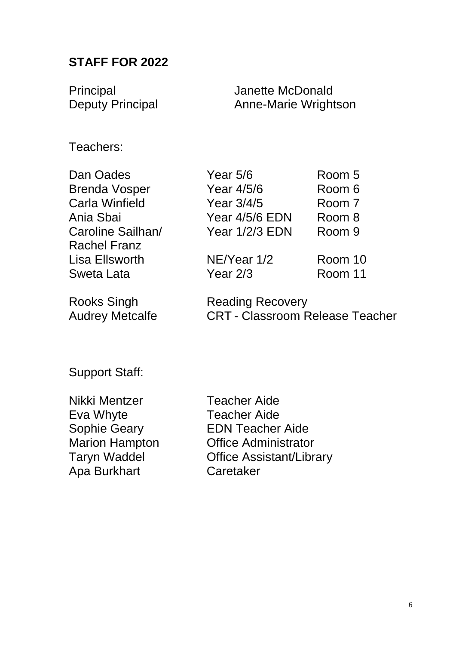### **STAFF FOR 2022**

Principal **Internal Accepts** Janette McDonald Deputy Principal **Anne-Marie Wrightson** 

Teachers:

Rachel Franz Lisa Ellsworth NE/Year 1/2 Room 10 Sweta Lata **Year 2/3** Room 11

Dan Oades **Year 5/6** Room 5 Brenda Vosper Year 4/5/6 Room 6 Carla Winfield Year 3/4/5 Room 7 Ania Sbai Year 4/5/6 EDN Room 8 Caroline Sailhan/ Year 1/2/3 EDN Room 9

Rooks Singh Reading Recovery Audrey Metcalfe CRT - Classroom Release Teacher

Support Staff:

Nikki Mentzer Teacher Aide Eva Whyte Teacher Aide Apa Burkhart Caretaker

Sophie Geary EDN Teacher Aide Marion Hampton **Office Administrator** Taryn Waddel Office Assistant/Library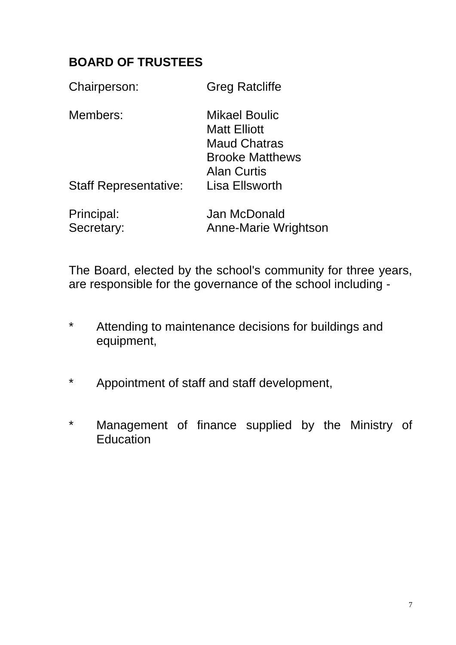## **BOARD OF TRUSTEES**

| Chairperson:                 | <b>Greg Ratcliffe</b>                                                                                              |
|------------------------------|--------------------------------------------------------------------------------------------------------------------|
| Members:                     | <b>Mikael Boulic</b><br><b>Matt Elliott</b><br><b>Maud Chatras</b><br><b>Brooke Matthews</b><br><b>Alan Curtis</b> |
| <b>Staff Representative:</b> | Lisa Ellsworth                                                                                                     |
| Principal:<br>Secretary:     | Jan McDonald<br><b>Anne-Marie Wrightson</b>                                                                        |

The Board, elected by the school's community for three years, are responsible for the governance of the school including -

- \* Attending to maintenance decisions for buildings and equipment,
- \* Appointment of staff and staff development,
- \* Management of finance supplied by the Ministry of Education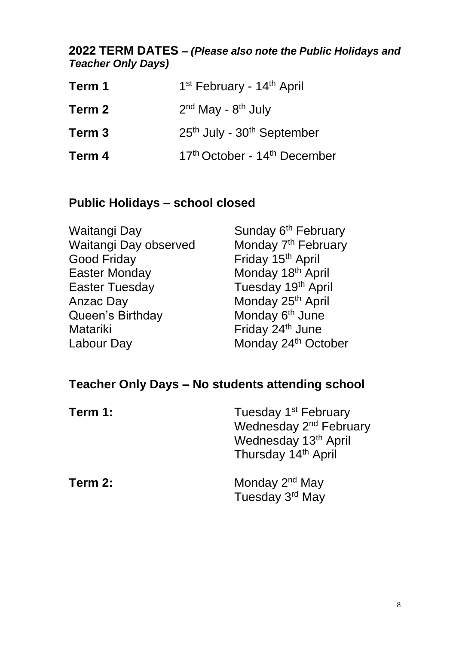### **2022 TERM DATES** *– (Please also note the Public Holidays and Teacher Only Days)*

| Term 1 | 1 <sup>st</sup> February - 14 <sup>th</sup> April    |
|--------|------------------------------------------------------|
| Term 2 | $2nd$ May - $8th$ July                               |
| Term 3 | 25 <sup>th</sup> July - 30 <sup>th</sup> September   |
| Term 4 | 17 <sup>th</sup> October - 14 <sup>th</sup> December |

## **Public Holidays – school closed**

| Waitangi Day          | Sunday 6 <sup>th</sup> February |
|-----------------------|---------------------------------|
| Waitangi Day observed | Monday 7 <sup>th</sup> February |
| <b>Good Friday</b>    | Friday 15 <sup>th</sup> April   |
| <b>Easter Monday</b>  | Monday 18 <sup>th</sup> April   |
| <b>Easter Tuesday</b> | Tuesday 19th April              |
| Anzac Day             | Monday 25 <sup>th</sup> April   |
| Queen's Birthday      | Monday 6 <sup>th</sup> June     |
| <b>Matariki</b>       | Friday 24 <sup>th</sup> June    |
| Labour Day            | Monday 24 <sup>th</sup> October |

# **Teacher Only Days – No students attending school**

| Term 1: | Tuesday 1 <sup>st</sup> February<br>Wednesday 2 <sup>nd</sup> February<br>Wednesday 13 <sup>th</sup> April<br>Thursday 14th April |
|---------|-----------------------------------------------------------------------------------------------------------------------------------|
| Term 2: | Monday 2 <sup>nd</sup> May<br>Tuesday 3rd May                                                                                     |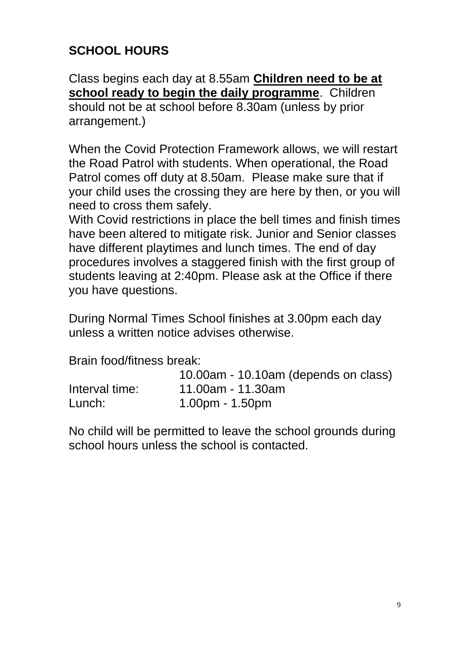# **SCHOOL HOURS**

Class begins each day at 8.55am **Children need to be at school ready to begin the daily programme**. Children should not be at school before 8.30am (unless by prior arrangement.)

When the Covid Protection Framework allows, we will restart the Road Patrol with students. When operational, the Road Patrol comes off duty at 8.50am. Please make sure that if your child uses the crossing they are here by then, or you will need to cross them safely.

With Covid restrictions in place the bell times and finish times have been altered to mitigate risk. Junior and Senior classes have different playtimes and lunch times. The end of day procedures involves a staggered finish with the first group of students leaving at 2:40pm. Please ask at the Office if there you have questions.

During Normal Times School finishes at 3.00pm each day unless a written notice advises otherwise.

Brain food/fitness break:

|                | 10.00am - 10.10am (depends on class) |
|----------------|--------------------------------------|
| Interval time: | 11.00am - 11.30am                    |
| Lunch:         | $1.00pm - 1.50pm$                    |

No child will be permitted to leave the school grounds during school hours unless the school is contacted.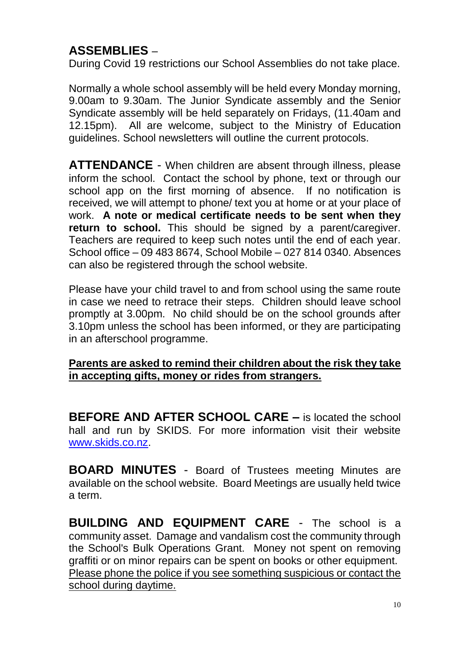## **ASSEMBLIES** –

During Covid 19 restrictions our School Assemblies do not take place.

Normally a whole school assembly will be held every Monday morning, 9.00am to 9.30am. The Junior Syndicate assembly and the Senior Syndicate assembly will be held separately on Fridays, (11.40am and 12.15pm). All are welcome, subject to the Ministry of Education guidelines. School newsletters will outline the current protocols.

**ATTENDANCE** - When children are absent through illness, please inform the school. Contact the school by phone, text or through our school app on the first morning of absence. If no notification is received, we will attempt to phone/ text you at home or at your place of work. **A note or medical certificate needs to be sent when they**  return to school. This should be signed by a parent/caregiver. Teachers are required to keep such notes until the end of each year. School office – 09 483 8674, School Mobile – 027 814 0340. Absences can also be registered through the school website.

Please have your child travel to and from school using the same route in case we need to retrace their steps. Children should leave school promptly at 3.00pm. No child should be on the school grounds after 3.10pm unless the school has been informed, or they are participating in an afterschool programme.

#### **Parents are asked to remind their children about the risk they take in accepting gifts, money or rides from strangers.**

**BEFORE AND AFTER SCHOOL CARE – is located the school** hall and run by SKIDS. For more information visit their website [www.skids.co.nz.](http://www.skids.co.nz/)

**BOARD MINUTES** - Board of Trustees meeting Minutes are available on the school website. Board Meetings are usually held twice a term.

**BUILDING AND EQUIPMENT CARE** - The school is a community asset. Damage and vandalism cost the community through the School's Bulk Operations Grant. Money not spent on removing graffiti or on minor repairs can be spent on books or other equipment. Please phone the police if you see something suspicious or contact the school during daytime.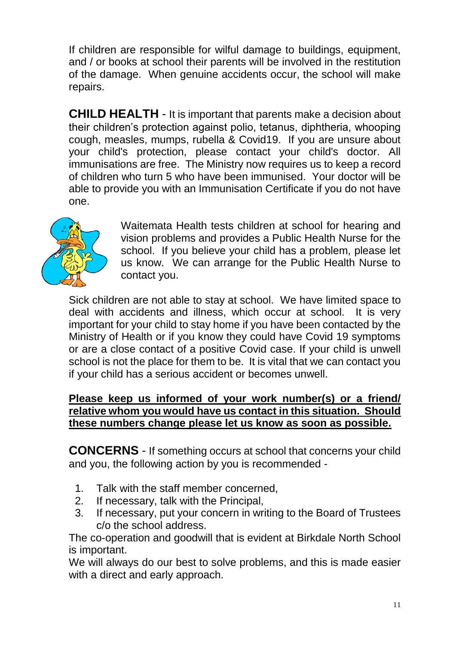If children are responsible for wilful damage to buildings, equipment, and / or books at school their parents will be involved in the restitution of the damage. When genuine accidents occur, the school will make repairs.

**CHILD HEALTH** - It is important that parents make a decision about their children's protection against polio, tetanus, diphtheria, whooping cough, measles, mumps, rubella & Covid19. If you are unsure about your child's protection, please contact your child's doctor. All immunisations are free. The Ministry now requires us to keep a record of children who turn 5 who have been immunised. Your doctor will be able to provide you with an Immunisation Certificate if you do not have one.



Waitemata Health tests children at school for hearing and vision problems and provides a Public Health Nurse for the school. If you believe your child has a problem, please let us know. We can arrange for the Public Health Nurse to contact you.

Sick children are not able to stay at school. We have limited space to deal with accidents and illness, which occur at school. It is very important for your child to stay home if you have been contacted by the Ministry of Health or if you know they could have Covid 19 symptoms or are a close contact of a positive Covid case. If your child is unwell school is not the place for them to be. It is vital that we can contact you if your child has a serious accident or becomes unwell.

#### **Please keep us informed of your work number(s) or a friend/ relative whom you would have us contact in this situation. Should these numbers change please let us know as soon as possible.**

**CONCERNS** - If something occurs at school that concerns your child and you, the following action by you is recommended -

- 1. Talk with the staff member concerned,
- 2. If necessary, talk with the Principal,
- 3. If necessary, put your concern in writing to the Board of Trustees c/o the school address.

The co-operation and goodwill that is evident at Birkdale North School is important.

We will always do our best to solve problems, and this is made easier with a direct and early approach.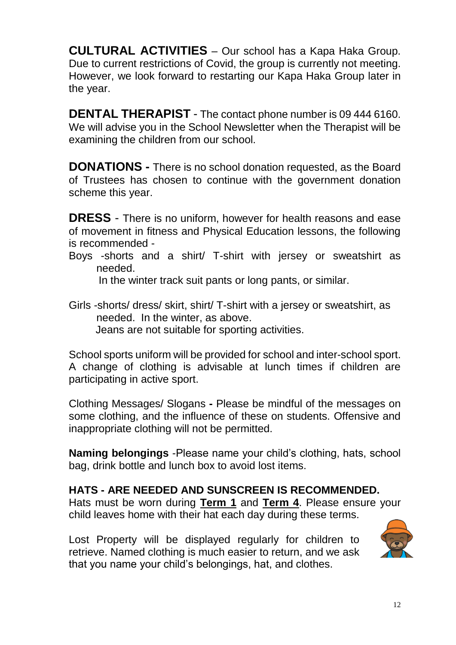**CULTURAL ACTIVITIES** – Our school has a Kapa Haka Group. Due to current restrictions of Covid, the group is currently not meeting. However, we look forward to restarting our Kapa Haka Group later in the year.

**DENTAL THERAPIST** - The contact phone number is 09 444 6160. We will advise you in the School Newsletter when the Therapist will be examining the children from our school.

**DONATIONS -** There is no school donation requested, as the Board of Trustees has chosen to continue with the government donation scheme this year.

**DRESS** - There is no uniform, however for health reasons and ease of movement in fitness and Physical Education lessons, the following is recommended -

Boys -shorts and a shirt/ T-shirt with jersey or sweatshirt as needed.

In the winter track suit pants or long pants, or similar.

Girls -shorts/ dress/ skirt, shirt/ T-shirt with a jersey or sweatshirt, as needed. In the winter, as above. Jeans are not suitable for sporting activities.

School sports uniform will be provided for school and inter-school sport. A change of clothing is advisable at lunch times if children are participating in active sport.

Clothing Messages/ Slogans **-** Please be mindful of the messages on some clothing, and the influence of these on students. Offensive and inappropriate clothing will not be permitted.

**Naming belongings** -Please name your child's clothing, hats, school bag, drink bottle and lunch box to avoid lost items.

### **HATS - ARE NEEDED AND SUNSCREEN IS RECOMMENDED.**

Hats must be worn during **Term 1** and **Term 4**. Please ensure your child leaves home with their hat each day during these terms.

Lost Property will be displayed regularly for children to retrieve. Named clothing is much easier to return, and we ask that you name your child's belongings, hat, and clothes.

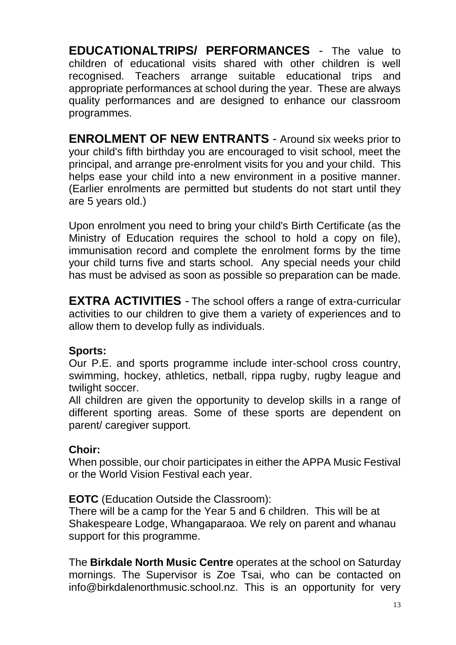**EDUCATIONALTRIPS/ PERFORMANCES** - The value to children of educational visits shared with other children is well recognised. Teachers arrange suitable educational trips and appropriate performances at school during the year. These are always quality performances and are designed to enhance our classroom programmes.

**ENROLMENT OF NEW ENTRANTS** - Around six weeks prior to your child's fifth birthday you are encouraged to visit school, meet the principal, and arrange pre-enrolment visits for you and your child. This helps ease your child into a new environment in a positive manner. (Earlier enrolments are permitted but students do not start until they are 5 years old.)

Upon enrolment you need to bring your child's Birth Certificate (as the Ministry of Education requires the school to hold a copy on file), immunisation record and complete the enrolment forms by the time your child turns five and starts school. Any special needs your child has must be advised as soon as possible so preparation can be made.

**EXTRA ACTIVITIES** - The school offers a range of extra-curricular activities to our children to give them a variety of experiences and to allow them to develop fully as individuals.

### **Sports:**

Our P.E. and sports programme include inter-school cross country, swimming, hockey, athletics, netball, rippa rugby, rugby league and twilight soccer.

All children are given the opportunity to develop skills in a range of different sporting areas. Some of these sports are dependent on parent/ caregiver support.

### **Choir:**

When possible, our choir participates in either the APPA Music Festival or the World Vision Festival each year.

#### **EOTC** (Education Outside the Classroom):

There will be a camp for the Year 5 and 6 children. This will be at Shakespeare Lodge, Whangaparaoa. We rely on parent and whanau support for this programme.

The **Birkdale North Music Centre** operates at the school on Saturday mornings. The Supervisor is Zoe Tsai, who can be contacted on info@birkdalenorthmusic.school.nz. This is an opportunity for very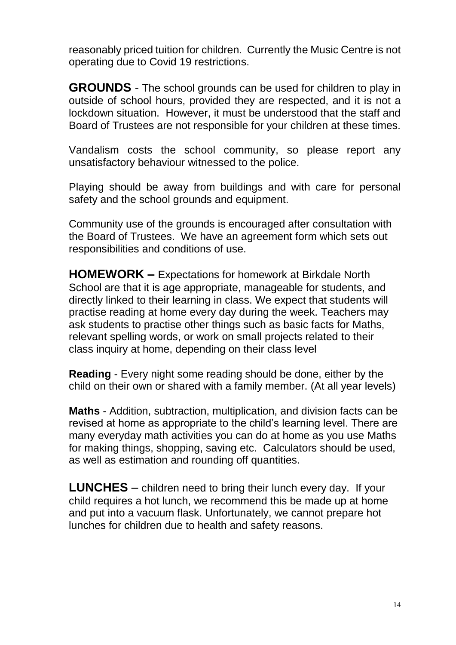reasonably priced tuition for children. Currently the Music Centre is not operating due to Covid 19 restrictions.

**GROUNDS** - The school grounds can be used for children to play in outside of school hours, provided they are respected, and it is not a lockdown situation. However, it must be understood that the staff and Board of Trustees are not responsible for your children at these times.

Vandalism costs the school community, so please report any unsatisfactory behaviour witnessed to the police.

Playing should be away from buildings and with care for personal safety and the school grounds and equipment.

Community use of the grounds is encouraged after consultation with the Board of Trustees. We have an agreement form which sets out responsibilities and conditions of use.

**HOMEWORK –** Expectations for homework at Birkdale North School are that it is age appropriate, manageable for students, and directly linked to their learning in class. We expect that students will practise reading at home every day during the week. Teachers may ask students to practise other things such as basic facts for Maths, relevant spelling words, or work on small projects related to their class inquiry at home, depending on their class level

**Reading** - Every night some reading should be done, either by the child on their own or shared with a family member. (At all year levels)

**Maths** - Addition, subtraction, multiplication, and division facts can be revised at home as appropriate to the child's learning level. There are many everyday math activities you can do at home as you use Maths for making things, shopping, saving etc. Calculators should be used, as well as estimation and rounding off quantities.

**LUNCHES** – children need to bring their lunch every day. If your child requires a hot lunch, we recommend this be made up at home and put into a vacuum flask. Unfortunately, we cannot prepare hot lunches for children due to health and safety reasons.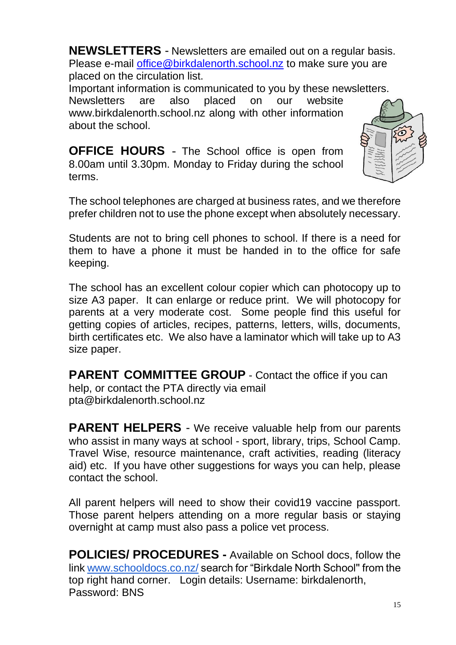**NEWSLETTERS** - Newsletters are emailed out on a regular basis. Please e-mail [office@birkdalenorth.school.nz](mailto:office@birkdalenorth.school.nz) to make sure you are placed on the circulation list.

Important information is communicated to you by these newsletters.

Newsletters are also placed on our website www.birkdalenorth.school.nz along with other information about the school.

**OFFICE HOURS** - The School office is open from 8.00am until 3.30pm. Monday to Friday during the school terms.



The school telephones are charged at business rates, and we therefore prefer children not to use the phone except when absolutely necessary.

Students are not to bring cell phones to school. If there is a need for them to have a phone it must be handed in to the office for safe keeping.

The school has an excellent colour copier which can photocopy up to size A3 paper. It can enlarge or reduce print. We will photocopy for parents at a very moderate cost. Some people find this useful for getting copies of articles, recipes, patterns, letters, wills, documents, birth certificates etc. We also have a laminator which will take up to A3 size paper.

**PARENT COMMITTEE GROUP** - Contact the office if you can help, or contact the PTA directly via email pta@birkdalenorth.school.nz

**PARENT HELPERS** - We receive valuable help from our parents who assist in many ways at school - sport, library, trips, School Camp. Travel Wise, resource maintenance, craft activities, reading (literacy aid) etc. If you have other suggestions for ways you can help, please contact the school.

All parent helpers will need to show their covid19 vaccine passport. Those parent helpers attending on a more regular basis or staying overnight at camp must also pass a police vet process.

**POLICIES/ PROCEDURES -** Available on School docs, follow the link [www.schooldocs.co.nz/](http://www.schooldocs.co.nz/) search for "Birkdale North School'' from the top right hand corner. Login details: Username: birkdalenorth, Password: BNS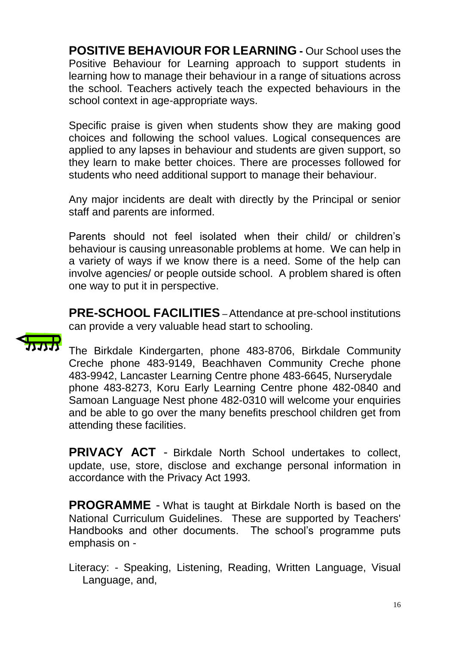**POSITIVE BEHAVIOUR FOR LEARNING -** Our School uses the Positive Behaviour for Learning approach to support students in learning how to manage their behaviour in a range of situations across the school. Teachers actively teach the expected behaviours in the school context in age-appropriate ways.

Specific praise is given when students show they are making good choices and following the school values. Logical consequences are applied to any lapses in behaviour and students are given support, so they learn to make better choices. There are processes followed for students who need additional support to manage their behaviour.

Any major incidents are dealt with directly by the Principal or senior staff and parents are informed.

Parents should not feel isolated when their child/ or children's behaviour is causing unreasonable problems at home. We can help in a variety of ways if we know there is a need. Some of the help can involve agencies/ or people outside school. A problem shared is often one way to put it in perspective.

**PRE-SCHOOL FACILITIES** –Attendance at pre-school institutions can provide a very valuable head start to schooling.



The Birkdale Kindergarten, phone 483-8706, Birkdale Community Creche phone 483-9149, Beachhaven Community Creche phone 483-9942, Lancaster Learning Centre phone 483-6645, Nurserydale phone 483-8273, Koru Early Learning Centre phone 482-0840 and Samoan Language Nest phone 482-0310 will welcome your enquiries and be able to go over the many benefits preschool children get from attending these facilities.

**PRIVACY ACT** - Birkdale North School undertakes to collect, update, use, store, disclose and exchange personal information in accordance with the Privacy Act 1993.

**PROGRAMME** - What is taught at Birkdale North is based on the National Curriculum Guidelines. These are supported by Teachers' Handbooks and other documents. The school's programme puts emphasis on -

Literacy: - Speaking, Listening, Reading, Written Language, Visual Language, and,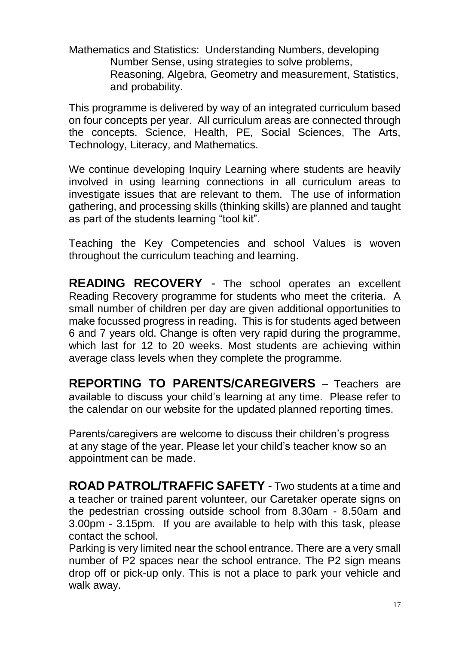Mathematics and Statistics: Understanding Numbers, developing Number Sense, using strategies to solve problems, Reasoning, Algebra, Geometry and measurement, Statistics, and probability.

This programme is delivered by way of an integrated curriculum based on four concepts per year. All curriculum areas are connected through the concepts. Science, Health, PE, Social Sciences, The Arts, Technology, Literacy, and Mathematics.

We continue developing Inquiry Learning where students are heavily involved in using learning connections in all curriculum areas to investigate issues that are relevant to them. The use of information gathering, and processing skills (thinking skills) are planned and taught as part of the students learning "tool kit".

Teaching the Key Competencies and school Values is woven throughout the curriculum teaching and learning.

**READING RECOVERY** - The school operates an excellent Reading Recovery programme for students who meet the criteria. A small number of children per day are given additional opportunities to make focussed progress in reading. This is for students aged between 6 and 7 years old. Change is often very rapid during the programme, which last for 12 to 20 weeks. Most students are achieving within average class levels when they complete the programme.

**REPORTING TO PARENTS/CAREGIVERS** – Teachers are available to discuss your child's learning at any time. Please refer to the calendar on our website for the updated planned reporting times.

Parents/caregivers are welcome to discuss their children's progress at any stage of the year. Please let your child's teacher know so an appointment can be made.

**ROAD PATROL/TRAFFIC SAFETY** - Two students at a time and a teacher or trained parent volunteer, our Caretaker operate signs on the pedestrian crossing outside school from 8.30am - 8.50am and 3.00pm - 3.15pm. If you are available to help with this task, please contact the school.

Parking is very limited near the school entrance. There are a very small number of P2 spaces near the school entrance. The P2 sign means drop off or pick-up only. This is not a place to park your vehicle and walk away.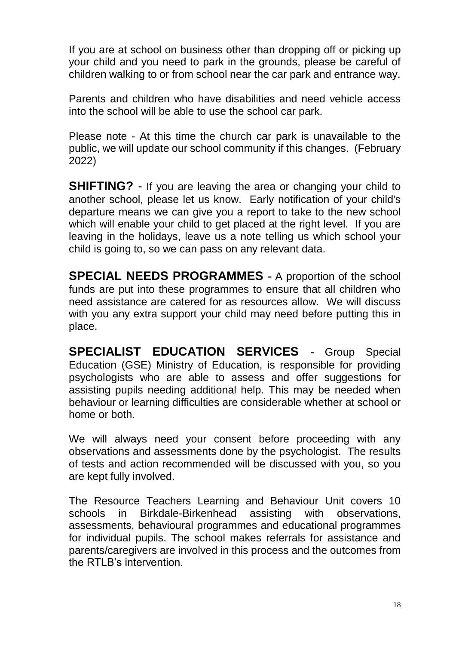If you are at school on business other than dropping off or picking up your child and you need to park in the grounds, please be careful of children walking to or from school near the car park and entrance way.

Parents and children who have disabilities and need vehicle access into the school will be able to use the school car park.

Please note - At this time the church car park is unavailable to the public, we will update our school community if this changes. (February 2022)

**SHIFTING?** - If you are leaving the area or changing your child to another school, please let us know. Early notification of your child's departure means we can give you a report to take to the new school which will enable your child to get placed at the right level. If you are leaving in the holidays, leave us a note telling us which school your child is going to, so we can pass on any relevant data.

**SPECIAL NEEDS PROGRAMMES -** A proportion of the school funds are put into these programmes to ensure that all children who need assistance are catered for as resources allow. We will discuss with you any extra support your child may need before putting this in place.

**SPECIALIST EDUCATION SERVICES** - Group Special Education (GSE) Ministry of Education, is responsible for providing psychologists who are able to assess and offer suggestions for assisting pupils needing additional help. This may be needed when behaviour or learning difficulties are considerable whether at school or home or both.

We will always need your consent before proceeding with any observations and assessments done by the psychologist. The results of tests and action recommended will be discussed with you, so you are kept fully involved.

The Resource Teachers Learning and Behaviour Unit covers 10 schools in Birkdale-Birkenhead assisting with observations, assessments, behavioural programmes and educational programmes for individual pupils. The school makes referrals for assistance and parents/caregivers are involved in this process and the outcomes from the RTLB's intervention.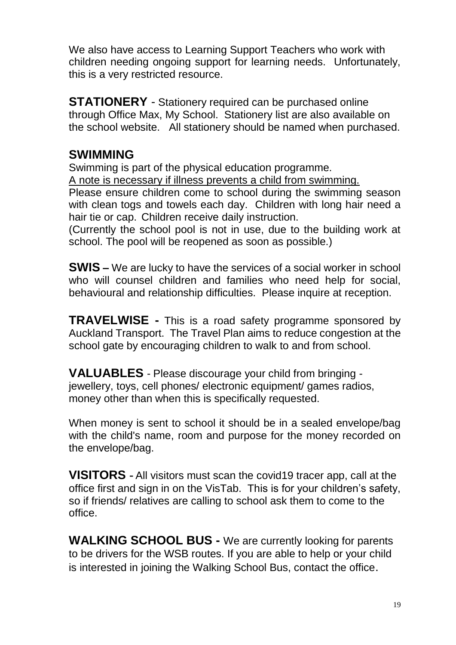We also have access to Learning Support Teachers who work with children needing ongoing support for learning needs. Unfortunately, this is a very restricted resource.

**STATIONERY** - Stationery required can be purchased online through Office Max, My School. Stationery list are also available on the school website. All stationery should be named when purchased.

## **SWIMMING**

Swimming is part of the physical education programme.

A note is necessary if illness prevents a child from swimming.

Please ensure children come to school during the swimming season with clean togs and towels each day. Children with long hair need a hair tie or cap. Children receive daily instruction.

(Currently the school pool is not in use, due to the building work at school. The pool will be reopened as soon as possible.)

**SWIS –** We are lucky to have the services of a social worker in school who will counsel children and families who need help for social. behavioural and relationship difficulties. Please inquire at reception.

**TRAVELWISE -** This is a road safety programme sponsored by Auckland Transport. The Travel Plan aims to reduce congestion at the school gate by encouraging children to walk to and from school.

**VALUABLES** - Please discourage your child from bringing jewellery, toys, cell phones/ electronic equipment/ games radios, money other than when this is specifically requested.

When money is sent to school it should be in a sealed envelope/bag with the child's name, room and purpose for the money recorded on the envelope/bag.

**VISITORS -** All visitors must scan the covid19 tracer app, call at the office first and sign in on the VisTab. This is for your children's safety, so if friends/ relatives are calling to school ask them to come to the office.

**WALKING SCHOOL BUS -** We are currently looking for parents to be drivers for the WSB routes. If you are able to help or your child is interested in joining the Walking School Bus, contact the office.